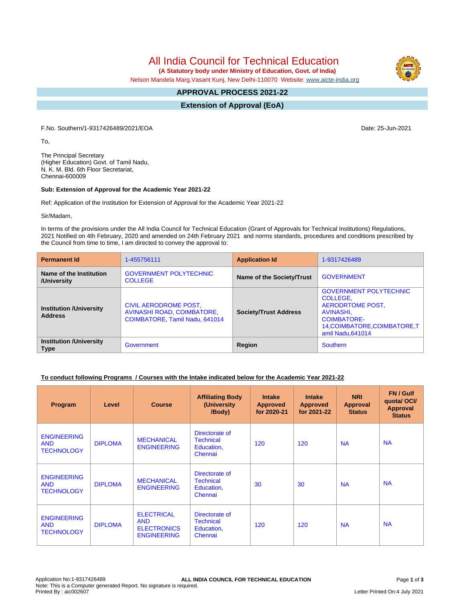# All India Council for Technical Education

 **(A Statutory body under Ministry of Education, Govt. of India)**

Nelson Mandela Marg,Vasant Kunj, New Delhi-110070 Website: [www.aicte-india.org](http://www.aicte-india.org)

#### **APPROVAL PROCESS 2021-22 -**

**Extension of Approval (EoA)**

F.No. Southern/1-9317426489/2021/EOA Date: 25-Jun-2021

To,

The Principal Secretary (Higher Education) Govt. of Tamil Nadu, N. K. M. Bld. 6th Floor Secretariat, Chennai-600009

#### **Sub: Extension of Approval for the Academic Year 2021-22**

Ref: Application of the Institution for Extension of Approval for the Academic Year 2021-22

Sir/Madam,

In terms of the provisions under the All India Council for Technical Education (Grant of Approvals for Technical Institutions) Regulations, 2021 Notified on 4th February, 2020 and amended on 24th February 2021 and norms standards, procedures and conditions prescribed by the Council from time to time, I am directed to convey the approval to:

| <b>Permanent Id</b>                              | 1-455756111                                                                           | <b>Application Id</b>        | 1-9317426489                                                                                                                                          |  |
|--------------------------------------------------|---------------------------------------------------------------------------------------|------------------------------|-------------------------------------------------------------------------------------------------------------------------------------------------------|--|
| Name of the Institution<br>/University           | <b>GOVERNMENT POLYTECHNIC</b><br><b>COLLEGE</b>                                       | Name of the Society/Trust    | <b>GOVERNMENT</b>                                                                                                                                     |  |
| <b>Institution /University</b><br><b>Address</b> | CIVIL AERODROME POST,<br>AVINASHI ROAD, COIMBATORE,<br>COIMBATORE, Tamil Nadu, 641014 | <b>Society/Trust Address</b> | <b>GOVERNMENT POLYTECHNIC</b><br>COLLEGE,<br>AERODRTOME POST,<br>AVINASHI,<br><b>COIMBATORE-</b><br>14, COIMBATORE, COIMBATORE, T<br>amil Nadu.641014 |  |
| <b>Institution /University</b><br><b>Type</b>    | Government                                                                            | Region                       | Southern                                                                                                                                              |  |

#### **To conduct following Programs / Courses with the Intake indicated below for the Academic Year 2021-22**

| Program                                               | Level          | <b>Course</b>                                                               | <b>Affiliating Body</b><br>(University<br>/Body)            | <b>Intake</b><br><b>Approved</b><br>for 2020-21 | <b>Intake</b><br><b>Approved</b><br>for 2021-22 | <b>NRI</b><br>Approval<br><b>Status</b> | FN / Gulf<br>quotal OCI/<br><b>Approval</b><br><b>Status</b> |
|-------------------------------------------------------|----------------|-----------------------------------------------------------------------------|-------------------------------------------------------------|-------------------------------------------------|-------------------------------------------------|-----------------------------------------|--------------------------------------------------------------|
| <b>ENGINEERING</b><br><b>AND</b><br><b>TECHNOLOGY</b> | <b>DIPLOMA</b> | <b>MECHANICAL</b><br><b>ENGINEERING</b>                                     | Directorate of<br><b>Technical</b><br>Education,<br>Chennai | 120                                             | 120                                             | <b>NA</b>                               | <b>NA</b>                                                    |
| <b>ENGINEERING</b><br><b>AND</b><br><b>TECHNOLOGY</b> | <b>DIPLOMA</b> | <b>MECHANICAL</b><br><b>ENGINEERING</b>                                     | Directorate of<br><b>Technical</b><br>Education,<br>Chennai | 30                                              | 30                                              | <b>NA</b>                               | <b>NA</b>                                                    |
| <b>ENGINEERING</b><br><b>AND</b><br><b>TECHNOLOGY</b> | <b>DIPLOMA</b> | <b>ELECTRICAL</b><br><b>AND</b><br><b>ELECTRONICS</b><br><b>ENGINEERING</b> | Directorate of<br><b>Technical</b><br>Education,<br>Chennai | 120                                             | 120                                             | <b>NA</b>                               | <b>NA</b>                                                    |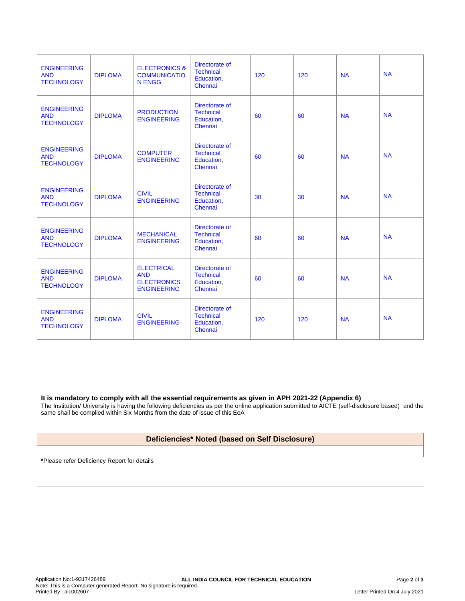| <b>ENGINEERING</b><br><b>AND</b><br><b>TECHNOLOGY</b> | <b>DIPLOMA</b> | <b>ELECTRONICS &amp;</b><br><b>COMMUNICATIO</b><br><b>N ENGG</b>            | Directorate of<br><b>Technical</b><br>Education,<br>Chennai | 120 | 120 | <b>NA</b> | <b>NA</b> |
|-------------------------------------------------------|----------------|-----------------------------------------------------------------------------|-------------------------------------------------------------|-----|-----|-----------|-----------|
| <b>ENGINEERING</b><br><b>AND</b><br><b>TECHNOLOGY</b> | <b>DIPLOMA</b> | <b>PRODUCTION</b><br><b>ENGINEERING</b>                                     | Directorate of<br><b>Technical</b><br>Education,<br>Chennai | 60  | 60  | <b>NA</b> | <b>NA</b> |
| <b>ENGINEERING</b><br><b>AND</b><br><b>TECHNOLOGY</b> | <b>DIPLOMA</b> | <b>COMPUTER</b><br><b>ENGINEERING</b>                                       | Directorate of<br><b>Technical</b><br>Education,<br>Chennai | 60  | 60  | <b>NA</b> | <b>NA</b> |
| <b>ENGINEERING</b><br><b>AND</b><br><b>TECHNOLOGY</b> | <b>DIPLOMA</b> | <b>CIVIL</b><br><b>ENGINEERING</b>                                          | Directorate of<br><b>Technical</b><br>Education,<br>Chennai | 30  | 30  | <b>NA</b> | <b>NA</b> |
| <b>ENGINEERING</b><br><b>AND</b><br><b>TECHNOLOGY</b> | <b>DIPLOMA</b> | <b>MECHANICAL</b><br><b>ENGINEERING</b>                                     | Directorate of<br><b>Technical</b><br>Education,<br>Chennai | 60  | 60  | <b>NA</b> | <b>NA</b> |
| <b>ENGINEERING</b><br><b>AND</b><br><b>TECHNOLOGY</b> | <b>DIPLOMA</b> | <b>ELECTRICAL</b><br><b>AND</b><br><b>ELECTRONICS</b><br><b>ENGINEERING</b> | Directorate of<br><b>Technical</b><br>Education,<br>Chennai | 60  | 60  | <b>NA</b> | <b>NA</b> |
| <b>ENGINEERING</b><br><b>AND</b><br><b>TECHNOLOGY</b> | <b>DIPLOMA</b> | <b>CIVIL</b><br><b>ENGINEERING</b>                                          | Directorate of<br><b>Technical</b><br>Education.<br>Chennai | 120 | 120 | <b>NA</b> | <b>NA</b> |

#### **It is mandatory to comply with all the essential requirements as given in APH 2021-22 (Appendix 6)**

The Institution/ University is having the following deficiencies as per the online application submitted to AICTE (self-disclosure based) and the same shall be complied within Six Months from the date of issue of this EoA

### **Deficiencies\* Noted (based on Self Disclosure)**

**\***Please refer Deficiency Report for details